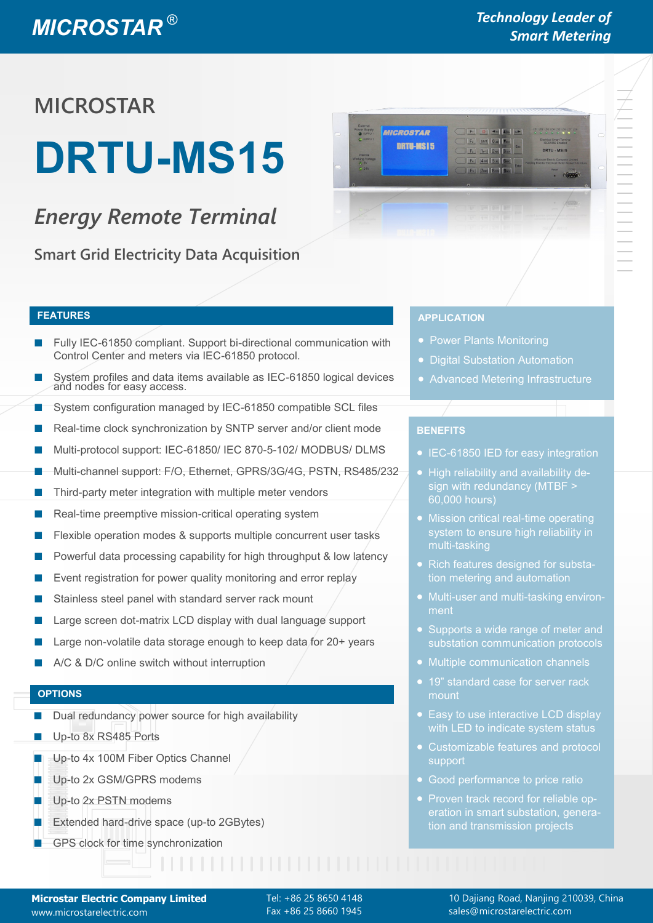## *MICROSTAR ®*

### *Technology Leader of Smart Metering*

## **MICROSTAR**

# **DRTU-MS15**

### *Energy Remote Terminal*

**Smart Grid Electricity Data Acquisition**



- Fully IEC-61850 compliant. Support bi-directional communication with Control Center and meters via IEC-61850 protocol.
- System profiles and data items available as IEC-61850 logical devices and nodes for easy access.
- System configuration managed by IEC-61850 compatible SCL files
- Real-time clock synchronization by SNTP server and/or client mode
- Multi-protocol support: IEC-61850/ IEC 870-5-102/ MODBUS/ DLMS
- Multi-channel support: F/O, Ethernet, GPRS/3G/4G, PSTN, RS485/232
- Third-party meter integration with multiple meter vendors
- Real-time preemptive mission-critical operating system
- Flexible operation modes & supports multiple concurrent user tasks
- Powerful data processing capability for high throughput & low latency
- Event registration for power quality monitoring and error replay
- Stainless steel panel with standard server rack mount
- Large screen dot-matrix LCD display with dual language support
- Large non-volatile data storage enough to keep data for 20+ years
- A/C & D/C online switch without interruption

#### ■ GPS network clock for high accuracy clock synchronization **OPTIONS**

- Dual redundancy power source for high availability
- Up-to 8x RS485 Ports
- Up-to 4x 100M Fiber Optics Channel
- Up-to 2x GSM/GPRS modems
- Up-to 2x PSTN modems
- Extended hard-drive space (up-to 2GBytes)
- **GPS clock for time synchronization**

#### **FEATURES APPLICATION**

- Power Plants Monitoring
- Digital Substation Automation
- Advanced Metering Infrastructure

#### **BENEFITS**

- **IEC-61850 IED for easy integration**
- High reliability and availability design with redundancy (MTBF > 60,000 hours)
- Mission critical real-time operating system to ensure high reliability in multi-tasking
- Rich features designed for substation metering and automation
- ment
- Supports a wide range of meter and substation communication protocols
- Multiple communication channels
- 19" standard case for server rack mount
- Easy to use interactive LCD display
- Customizable features and protocol support
- Good performance to price ratio
- Proven track record for reliable operation in smart substation, generation and transmission projects

Tel: +86 25 8650 4148 Fax +86 25 8660 1945